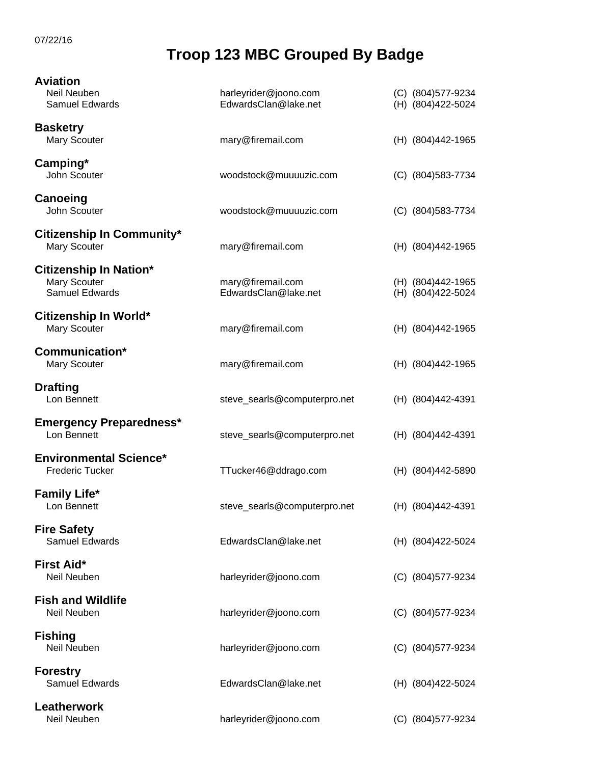## **Troop 123 MBC Grouped By Badge**

| <b>Aviation</b>                                                 |                                               |                                          |
|-----------------------------------------------------------------|-----------------------------------------------|------------------------------------------|
| Neil Neuben<br>Samuel Edwards                                   | harleyrider@joono.com<br>EdwardsClan@lake.net | (C) (804) 577-9234<br>(H) (804) 422-5024 |
| <b>Basketry</b><br>Mary Scouter                                 | mary@firemail.com                             | (H) (804) 442-1965                       |
| Camping*<br>John Scouter                                        | woodstock@muuuuzic.com                        | (C) (804) 583-7734                       |
| Canoeing<br>John Scouter                                        | woodstock@muuuuzic.com                        | (C) (804) 583-7734                       |
| <b>Citizenship In Community*</b><br>Mary Scouter                | mary@firemail.com                             | (H) (804) 442-1965                       |
| <b>Citizenship In Nation*</b><br>Mary Scouter<br>Samuel Edwards | mary@firemail.com<br>EdwardsClan@lake.net     | (H) (804) 442-1965<br>(H) (804) 422-5024 |
| Citizenship In World*<br>Mary Scouter                           | mary@firemail.com                             | (H) (804) 442-1965                       |
| Communication*<br>Mary Scouter                                  | mary@firemail.com                             | (H) (804) 442-1965                       |
| <b>Drafting</b><br>Lon Bennett                                  | steve_searls@computerpro.net                  | (H) (804)442-4391                        |
| <b>Emergency Preparedness*</b><br>Lon Bennett                   | steve_searls@computerpro.net                  | (H) (804)442-4391                        |
| <b>Environmental Science*</b><br><b>Frederic Tucker</b>         | TTucker46@ddrago.com                          | (H) (804)442-5890                        |
| <b>Family Life*</b><br>Lon Bennett                              | steve_searls@computerpro.net                  | (H) (804)442-4391                        |
| <b>Fire Safety</b><br>Samuel Edwards                            | EdwardsClan@lake.net                          | (H) (804) 422-5024                       |
| <b>First Aid*</b><br>Neil Neuben                                | harleyrider@joono.com                         | (C) (804) 577-9234                       |
| <b>Fish and Wildlife</b><br>Neil Neuben                         | harleyrider@joono.com                         | (C) (804) 577-9234                       |
| <b>Fishing</b><br>Neil Neuben                                   | harleyrider@joono.com                         | (C) (804) 577-9234                       |
| <b>Forestry</b><br>Samuel Edwards                               | EdwardsClan@lake.net                          | (H) (804) 422-5024                       |
| Leatherwork<br>Neil Neuben                                      | harleyrider@joono.com                         | (C) (804) 577-9234                       |